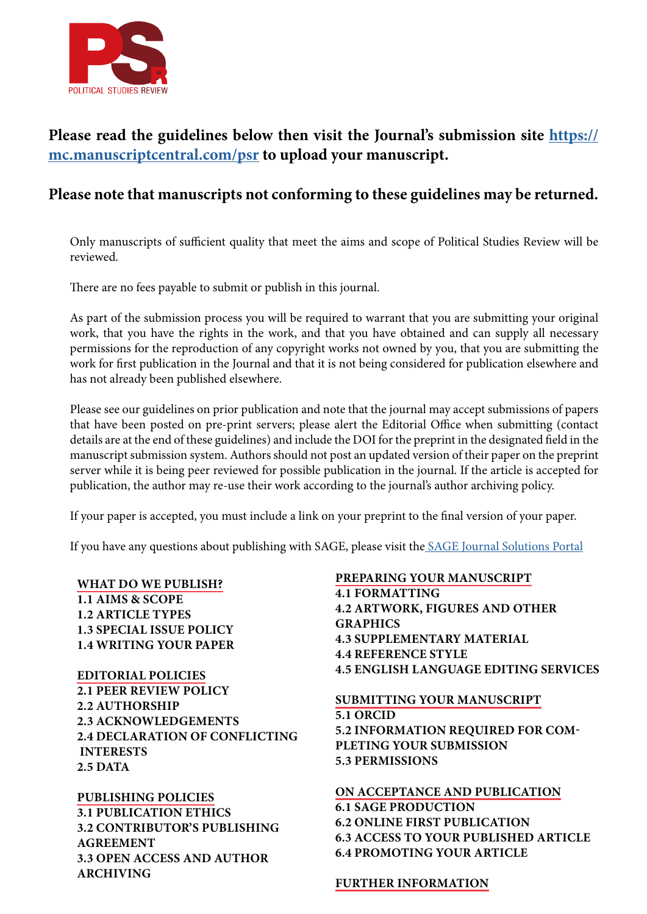

# **Please read the guidelines below then visit the Journal's submission site [https://](https://mc.manuscriptcentral.com/psr) [mc.manuscriptcentral.com/psr](https://mc.manuscriptcentral.com/psr) to upload your manuscript.**

# **Please note that manuscripts not conforming to these guidelines may be returned.**

Only manuscripts of sufficient quality that meet the aims and scope of Political Studies Review will be reviewed.

There are no fees payable to submit or publish in this journal.

As part of the submission process you will be required to warrant that you are submitting your original work, that you have the rights in the work, and that you have obtained and can supply all necessary permissions for the reproduction of any copyright works not owned by you, that you are submitting the work for first publication in the Journal and that it is not being considered for publication elsewhere and has not already been published elsewhere.

Please see our guidelines on prior publication and note that the journal may accept submissions of papers that have been posted on pre-print servers; please alert the Editorial Office when submitting (contact details are at the end of these guidelines) and include the DOI for the preprint in the designated field in the manuscript submission system. Authors should not post an updated version of their paper on the preprint server while it is being peer reviewed for possible publication in the journal. If the article is accepted for publication, the author may re-use their work according to the journal's author archiving policy.

If your paper is accepted, you must include a link on your preprint to the final version of your paper.

If you have any questions about publishing with SAGE, please visit th[e SAGE Journal Solutions Portal](https://journalssolutions.sagepub.com/support/solutions/folders/7000040678)

# <span id="page-0-0"></span>**[WHAT DO WE PUBLISH?](#page-0-0)**

**1.1 AIMS & SCOPE 1.2 ARTICLE TYPES 1.3 SPECIAL ISSUE POLICY 1.4 WRITING YOUR PAPER**

**EDITORIAL POLICIES 2.1 PEER REVIEW POLICY 2.2 AUTHORSHIP 2.3 ACKNOWLEDGEMENTS 2.4 DECLARATION OF CONFLICTING INTERESTS 2.5 DATA**

**PUBLISHING POLICIES 3.1 PUBLICATION ETHICS 3.2 CONTRIBUTOR'S PUBLISHING AGREEMENT 3.3 OPEN ACCESS AND AUTHOR ARCHIVING**

**PREPARING YOUR MANUSCRIPT 4.1 FORMATTING 4.2 ARTWORK, FIGURES AND OTHER GRAPHICS 4.3 SUPPLEMENTARY MATERIAL 4.4 REFERENCE STYLE 4.5 ENGLISH LANGUAGE EDITING SERVICES**

# **SUBMITTING YOUR MANUSCRIPT 5.1 ORCID 5.2 INFORMATION REQUIRED FOR COM-PLETING YOUR SUBMISSION 5.3 PERMISSIONS**

#### **ON ACCEPTANCE AND PUBLICATION**

**6.1 SAGE PRODUCTION 6.2 ONLINE FIRST PUBLICATION 6.3 ACCESS TO YOUR PUBLISHED ARTICLE 6.4 PROMOTING YOUR ARTICLE**

# **FURTHER INFORMATION**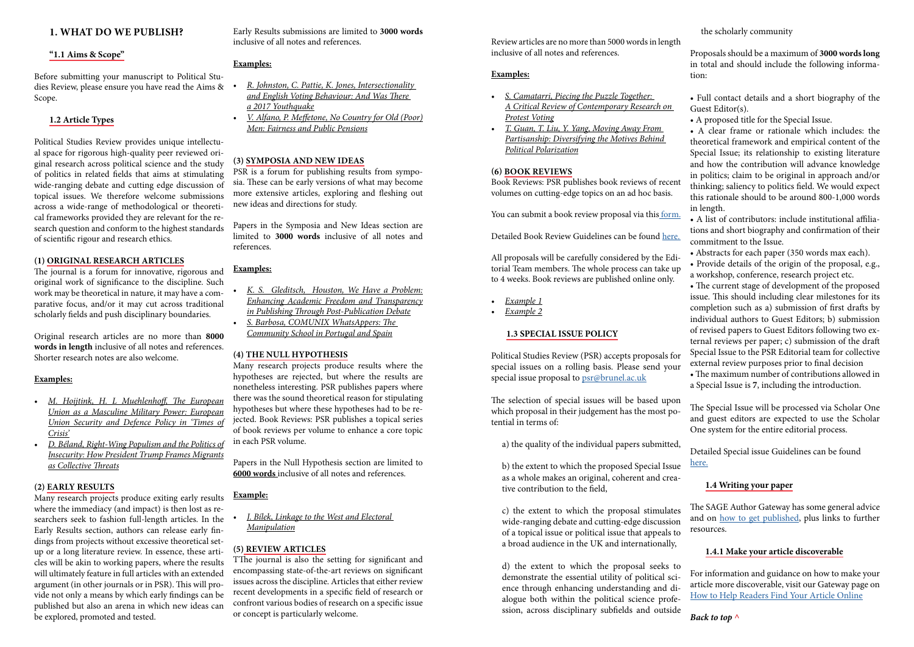# **1. WHAT DO WE PUBLISH?**

## **"1.1 Aims & Scope"**

Before submitting your manuscript to Political Studies Review, please ensure you have read the Aims & Scope.

# **1.2 Article Types**

Political Studies Review provides unique intellectual space for rigorous high-quality peer reviewed original research across political science and the study of politics in related fields that aims at stimulating wide-ranging debate and cutting edge discussion of topical issues. We therefore welcome submissions across a wide-range of methodological or theoretical frameworks provided they are relevant for the research question and conform to the highest standards of scientific rigour and research ethics.

#### **(1) ORIGINAL RESEARCH ARTICLES**

The journal is a forum for innovative, rigorous and original work of significance to the discipline. Such work may be theoretical in nature, it may have a comparative focus, and/or it may cut across traditional scholarly fields and push disciplinary boundaries.

Original research articles are no more than **8000 words in length** inclusive of all notes and references. Shorter research notes are also welcome.

#### **Examples:**

- *• [M. Hoijtink, H. L Muehlenhoff, The European](https://journals.sagepub.com/doi/full/10.1177/1478929919884876)  [Union as a Masculine Military Power: European](https://journals.sagepub.com/doi/full/10.1177/1478929919884876)  [Union Security and Defence Policy in 'Times of](https://journals.sagepub.com/doi/full/10.1177/1478929919884876)  [Crisis'](https://journals.sagepub.com/doi/full/10.1177/1478929919884876)*
- *• [D. Béland, Right-Wing Populism and the Politics of](https://journals.sagepub.com/doi/full/10.1177/1478929919865131)  [Insecurity: How President Trump Frames Migrants](https://journals.sagepub.com/doi/full/10.1177/1478929919865131)  [as Collective Threats](https://journals.sagepub.com/doi/full/10.1177/1478929919865131)*

## **(2) EARLY RESULTS**

Many research projects produce exiting early results where the immediacy (and impact) is then lost as researchers seek to fashion full-length articles. In the Early Results section, authors can release early findings from projects without excessive theoretical setup or a long literature review. In essence, these articles will be akin to working papers, where the results will ultimately feature in full articles with an extended argument (in other journals or in PSR). This will provide not only a means by which early findings can be published but also an arena in which new ideas can be explored, promoted and tested.

Early Results submissions are limited to **3000 words**  inclusive of all notes and references.

# **Examples:**

- *• [R. Johnston, C. Pattie, K. Jones, Intersectionality](https://journals.sagepub.com/doi/full/10.1177/1478929919875055)  [and English Voting Behaviour: And Was There](https://journals.sagepub.com/doi/full/10.1177/1478929919875055)  [a 2017 Youthquake](https://journals.sagepub.com/doi/full/10.1177/1478929919875055)*
- *• [V. Alfano, P. Meffetone, No Country for Old \(Poor\)](https://journals.sagepub.com/doi/abs/10.1177/1478929919887865)  [Men: Fairness and Public Pensions](https://journals.sagepub.com/doi/abs/10.1177/1478929919887865)*

# **(3) SYMPOSIA AND NEW IDEAS**

PSR is a forum for publishing results from symposia. These can be early versions of what may become more extensive articles, exploring and fleshing out new ideas and directions for study.

Papers in the Symposia and New Ideas section are limited to **3000 words** inclusive of all notes and references.

## **Examples:**

- *• [K. S. Gleditsch, Houston, We Have a Problem:](https://journals.sagepub.com/doi/abs/10.1177/1478929919889309)  [Enhancing Academic Freedom and Transparency](https://journals.sagepub.com/doi/abs/10.1177/1478929919889309)  [in Publishing Through Post-Publication Debate](https://journals.sagepub.com/doi/abs/10.1177/1478929919889309)*
- *• [S. Barbosa, COMUNIX WhatsAppers: The](https://journals.sagepub.com/doi/abs/10.1177/1478929920951076?journalCode=pswa)  [Community School in Portugal and Spain](https://journals.sagepub.com/doi/abs/10.1177/1478929920951076?journalCode=pswa)*

# **(4) THE NULL HYPOTHESIS**

Many research projects produce results where the hypotheses are rejected, but where the results are nonetheless interesting. PSR publishes papers where there was the sound theoretical reason for stipulating hypotheses but where these hypotheses had to be rejected. Book Reviews: PSR publishes a topical series of book reviews per volume to enhance a core topic in each PSR volume.

Papers in the Null Hypothesis section are limited to **6000 words** inclusive of all notes and references.

#### **Example:**

*• [J. Bílek, Linkage to the West and Electoral](https://journals.sagepub.com/doi/abs/10.1177/1478929920920104?journalCode=pswa)  [Manipulation](https://journals.sagepub.com/doi/abs/10.1177/1478929920920104?journalCode=pswa)*

# **(5) REVIEW ARTICLES**

TThe journal is also the setting for significant and encompassing state-of-the-art reviews on significant issues across the discipline. Articles that either review recent developments in a specific field of research or confront various bodies of research on a specific issue or concept is particularly welcome.

Review articles are no more than 5000 words in length inclusive of all notes and references.

#### **Examples:**

- *• [S. Camatarri, Piecing the Puzzle Together:](https://journals.sagepub.com/doi/abs/10.1177/1478929919862149?journalCode=pswa)  [A Critical Review of Contemporary Research on](https://journals.sagepub.com/doi/abs/10.1177/1478929919862149?journalCode=pswa)  [Protest Voting](https://journals.sagepub.com/doi/abs/10.1177/1478929919862149?journalCode=pswa)*
- *• [T. Guan, T. Liu, Y. Yang, Moving Away From](https://journals.sagepub.com/doi/abs/10.1177/1478929920921650?journalCode=pswa)  [Partisanship: Diversifying the Motives Behind](https://journals.sagepub.com/doi/abs/10.1177/1478929920921650?journalCode=pswa)  [Political Polarization](https://journals.sagepub.com/doi/abs/10.1177/1478929920921650?journalCode=pswa)*

# **(6) BOOK REVIEWS**

Book Reviews: PSR publishes book reviews of recent volumes on cutting-edge topics on an ad hoc basis.

You can submit a book review proposal via this [form.](https://docs.google.com/forms/d/e/1FAIpQLSeXND8Ku3qnjBUwLFQ5ezzYs2O2NZKcGwKh-aw-Jo1snOp9dA/viewform)

Detailed Book Review Guidelines can be found [here.](https://psr.brunel.ac.uk/wp-content/uploads/sites/39/2020/05/PSR_-book_review_guidelines.pdf) 

All proposals will be carefully considered by the Editorial Team members. The whole process can take up to 4 weeks. Book reviews are published online only.

- *• [Example 1](https://journals.sagepub.com/doi/abs/10.1177/1478929920919606?journalCode=pswa)*
- *• [Example 2](https://journals.sagepub.com/doi/abs/10.1177/1478929920925663?journalCode=pswa)*

# **1.3 SPECIAL ISSUE POLICY**

Political Studies Review (PSR) accepts proposals for special issues on a rolling basis. Please send your special issue proposal to [psr@brunel.ac.uk](mailto:psr%40brunel.ac.uk%20?subject=)

The selection of special issues will be based upon which proposal in their judgement has the most potential in terms of:

a) the quality of the individual papers submitted,

b) the extent to which the proposed Special Issue as a whole makes an original, coherent and creative contribution to the field,

c) the extent to which the proposal stimulates wide-ranging debate and cutting-edge discussion of a topical issue or political issue that appeals to a broad audience in the UK and internationally,

d) the extent to which the proposal seeks to demonstrate the essential utility of political science through enhancing understanding and dialogue both within the political science profession, across disciplinary subfields and outside

Proposals should be a maximum of **3000 words long** in total and should include the following information:

• Full contact details and a short biography of the Guest Editor(s).

• A proposed title for the Special Issue.

• A clear frame or rationale which includes: the theoretical framework and empirical content of the Special Issue; its relationship to existing literature and how the contribution will advance knowledge in politics; claim to be original in approach and/or thinking; saliency to politics field. We would expect this rationale should to be around 800-1,000 words in length.

• A list of contributors: include institutional affiliations and short biography and confirmation of their commitment to the Issue.

• Abstracts for each paper (350 words max each).

• Provide details of the origin of the proposal, e.g., a workshop, conference, research project etc.

• The current stage of development of the proposed issue. This should including clear milestones for its completion such as a) submission of first drafts by individual authors to Guest Editors; b) submission of revised papers to Guest Editors following two external reviews per paper; c) submission of the draft Special Issue to the PSR Editorial team for collective external review purposes prior to final decision

• The maximum number of contributions allowed in a Special Issue is **7**, including the introduction.

The Special Issue will be processed via Scholar One and guest editors are expected to use the Scholar One system for the entire editorial process.

Detailed Special issue Guidelines can be found [here.](https://psr.brunel.ac.uk/special-issue/)

# **1.4 Writing your paper**

The SAGE Author Gateway has some general advice and on [how to get published,](https://us.sagepub.com/en-us/nam/how-to-get-published) plus links to further resources.

# **1.4.1 Make your article discoverable**

For information and guidance on how to make your article more discoverable, visit our Gateway page on [How to Help Readers Find Your Article Online](https://us.sagepub.com/en-us/nam/help-readers-find-your-article)

# *Back to top ^*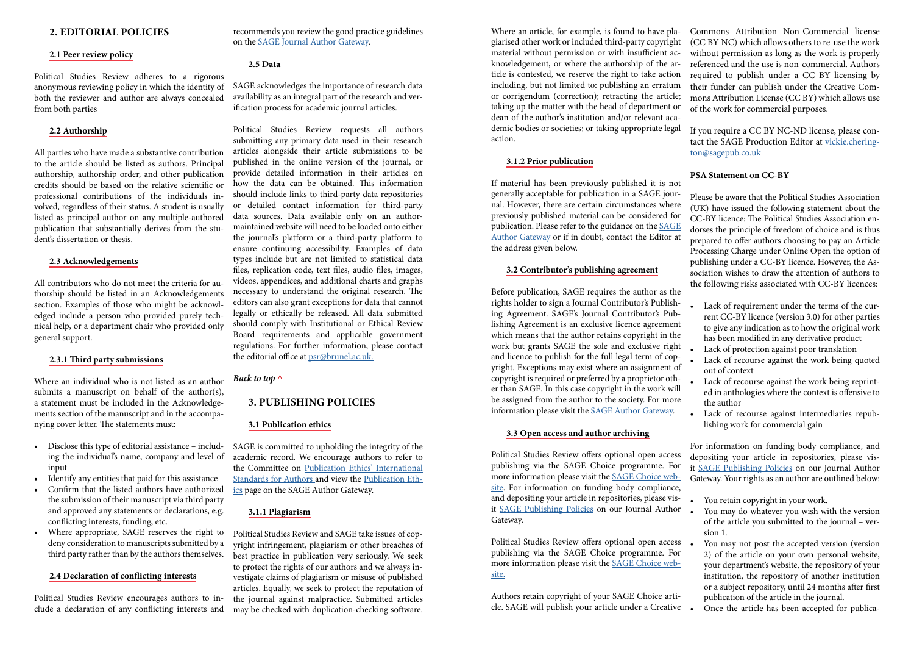# **2. EDITORIAL POLICIES**

## **2.1 Peer review policy**

Political Studies Review adheres to a rigorous anonymous reviewing policy in which the identity of both the reviewer and author are always concealed from both parties

### **2.2 Authorship**

All parties who have made a substantive contribution to the article should be listed as authors. Principal authorship, authorship order, and other publication credits should be based on the relative scientific or professional contributions of the individuals involved, regardless of their status. A student is usually listed as principal author on any multiple-authored publication that substantially derives from the student's dissertation or thesis.

#### **2.3 Acknowledgements**

All contributors who do not meet the criteria for authorship should be listed in an Acknowledgements section. Examples of those who might be acknowledged include a person who provided purely technical help, or a department chair who provided only general support.

## **2.3.1 Third party submissions**

Where an individual who is not listed as an author submits a manuscript on behalf of the author(s), a statement must be included in the Acknowledgements section of the manuscript and in the accompanying cover letter. The statements must:

- Disclose this type of editorial assistance including the individual's name, company and level of input
- Identify any entities that paid for this assistance
- Confirm that the listed authors have authorized the submission of their manuscript via third party and approved any statements or declarations, e.g. conflicting interests, funding, etc.
- Where appropriate, SAGE reserves the right to deny consideration to manuscripts submitted by a third party rather than by the authors themselves.

### **2.4 Declaration of conflicting interests**

Political Studies Review encourages authors to include a declaration of any conflicting interests and recommends you review the good practice guidelines on the [SAGE Journal Author Gateway.](https://us.sagepub.com/en-us/nam/declaration-of-conflicting-interests-policy)

# **2.5 Data**

SAGE acknowledges the importance of research data availability as an integral part of the research and verification process for academic journal articles.

Political Studies Review requests all authors submitting any primary data used in their research articles alongside their article submissions to be published in the online version of the journal, or provide detailed information in their articles on how the data can be obtained. This information should include links to third-party data repositories or detailed contact information for third-party data sources. Data available only on an authormaintained website will need to be loaded onto either the journal's platform or a third-party platform to ensure continuing accessibility. Examples of data types include but are not limited to statistical data files, replication code, text files, audio files, images, videos, appendices, and additional charts and graphs necessary to understand the original research. The editors can also grant exceptions for data that cannot legally or ethically be released. All data submitted should comply with Institutional or Ethical Review Board requirements and applicable government regulations. For further information, please contact the editorial office at [psr@brunel.ac.uk.](mailto:psr%40brunel.ac.uk.?subject=)

# *Back to top ^*

# **3. PUBLISHING POLICIES**

#### **3.1 Publication ethics**

SAGE is committed to upholding the integrity of the academic record. We encourage authors to refer to the Committee on [Publication Ethics' International](http://publicationethics.org/files/International%20standards_authors_for%20website_11_Nov_2011.pdf)  [Standards for Authors a](http://publicationethics.org/files/International%20standards_authors_for%20website_11_Nov_2011.pdf)nd view the [Publication Eth](https://us.sagepub.com/en-us/nam/ethics-responsibility)[ics](https://us.sagepub.com/en-us/nam/ethics-responsibility) page on the SAGE Author Gateway.

# **3.1.1 Plagiarism**

Political Studies Review and SAGE take issues of copyright infringement, plagiarism or other breaches of best practice in publication very seriously. We seek to protect the rights of our authors and we always investigate claims of plagiarism or misuse of published articles. Equally, we seek to protect the reputation of the journal against malpractice. Submitted articles may be checked with duplication-checking software.

- Lack of requirement under the terms of the current CC-BY licence (version 3.0) for other parties to give any indication as to how the original work has been modified in any derivative product
- Lack of protection against poor translation
- Lack of recourse against the work being quoted out of context
- Lack of recourse against the work being reprinted in anthologies where the context is offensive to the author
- Lack of recourse against intermediaries republishing work for commercial gain

- You retain copyright in your work.
- You may do whatever you wish with the version of the article you submitted to the journal – version 1.
- You may not post the accepted version (version 2) of the article on your own personal website, your department's website, the repository of your institution, the repository of another institution or a subject repository, until 24 months after first publication of the article in the journal.
- Once the article has been accepted for publica-

## **3.1.2 Prior publication**

If material has been previously published it is not generally acceptable for publication in a SAGE journal. However, there are certain circumstances where previously published material can be considered for publication. Please refer to the guidance on the [SAGE](https://us.sagepub.com/en-us/nam/prior-publication)  [Author Gateway](https://us.sagepub.com/en-us/nam/prior-publication) or if in doubt, contact the Editor at the address given below.

## **3.2 Contributor's publishing agreement**

Before publication, SAGE requires the author as the rights holder to sign a Journal Contributor's Publishing Agreement. SAGE's Journal Contributor's Publishing Agreement is an exclusive licence agreement which means that the author retains copyright in the work but grants SAGE the sole and exclusive right and licence to publish for the full legal term of copyright. Exceptions may exist where an assignment of copyright is required or preferred by a proprietor other than SAGE. In this case copyright in the work will be assigned from the author to the society. For more information please visit the [SAGE Author Gateway](https://us.sagepub.com/en-us/nam/contributor-agreement).

Where an article, for example, is found to have plagiarised other work or included third-party copyright material without permission or with insufficient acknowledgement, or where the authorship of the article is contested, we reserve the right to take action including, but not limited to: publishing an erratum or corrigendum (correction); retracting the article; taking up the matter with the head of department or dean of the author's institution and/or relevant academic bodies or societies; or taking appropriate legal action. Commons Attribution Non-Commercial license (CC BY-NC) which allows others to re-use the work without permission as long as the work is properly referenced and the use is non-commercial. Authors required to publish under a CC BY licensing by their funder can publish under the Creative Commons Attribution License (CC BY) which allows use of the work for commercial purposes. If you require a CC BY NC-ND license, please contact the SAGE Production Editor at [vickie.chering](mailto:vickie.cherington%40sagepub.co.uk%20?subject=)[ton@sagepub.co.uk](mailto:vickie.cherington%40sagepub.co.uk%20?subject=)

# **3.3 Open access and author archiving**

Political Studies Review offers optional open access publishing via the SAGE Choice programme. For more information please visit the [SAGE Choice web](https://uk.sagepub.com/en-gb/eur/sage-choice)[site](https://uk.sagepub.com/en-gb/eur/sage-choice). For information on funding body compliance, and depositing your article in repositories, please visit [SAGE Publishing Policies](https://us.sagepub.com/en-us/nam/publishing-policies) on our Journal Author Gateway.

Political Studies Review offers optional open access publishing via the SAGE Choice programme. For more information please visit the [SAGE Choice web](https://uk.sagepub.com/en-gb/eur/sage-choice)[site.](https://uk.sagepub.com/en-gb/eur/sage-choice)

Authors retain copyright of your SAGE Choice article. SAGE will publish your article under a Creative

# **PSA Statement on CC-BY**

Please be aware that the Political Studies Association (UK) have issued the following statement about the CC-BY licence: The Political Studies Association endorses the principle of freedom of choice and is thus prepared to offer authors choosing to pay an Article Processing Charge under Online Open the option of publishing under a CC-BY licence. However, the Association wishes to draw the attention of authors to the following risks associated with CC-BY licences:

For information on funding body compliance, and depositing your article in repositories, please visit [SAGE Publishing Policies](mailto:https://us.sagepub.com/en-us/nam/copyright-and-permissions?subject=) on our Journal Author Gateway. Your rights as an author are outlined below: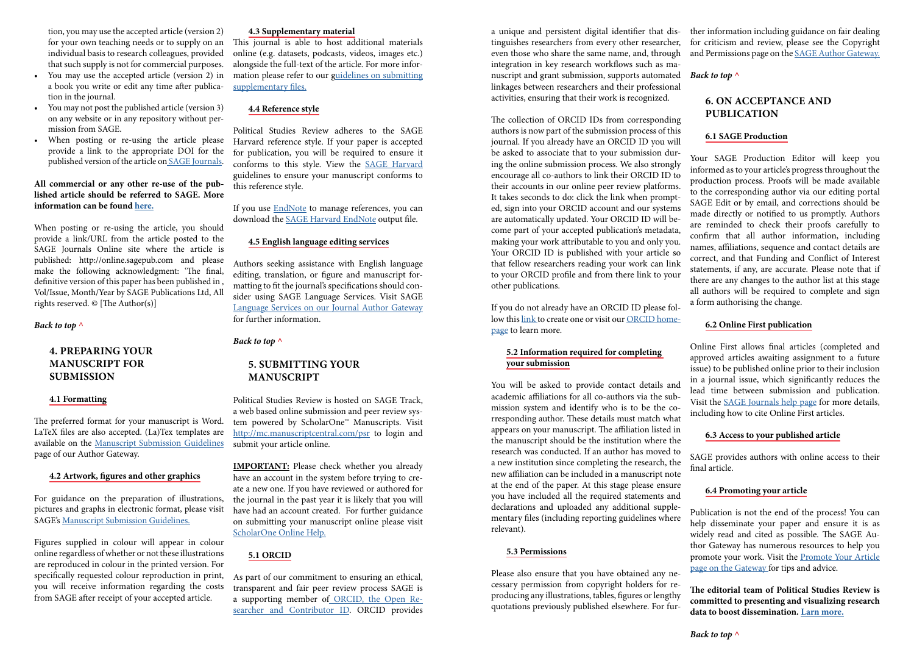tion, you may use the accepted article (version 2) for your own teaching needs or to supply on an individual basis to research colleagues, provided that such supply is not for commercial purposes.

- You may use the accepted article (version 2) in a book you write or edit any time after publication in the journal.
- You may not post the published article (version 3) on any website or in any repository without permission from SAGE.
- When posting or re-using the article please provide a link to the appropriate DOI for the published version of the article on [SAGE Journals.](mailto:https://journals.sagepub.com/?subject=)

# **All commercial or any other re-use of the published article should be referred to SAGE. More information can be found [here.](mailto:http://www.sagepub.co.uk/journalsPermissions.nav%0D?subject=)**

When posting or re-using the article, you should provide a link/URL from the article posted to the SAGE Journals Online site where the article is published: http://online.sagepub.com and please make the following acknowledgment: 'The final, definitive version of this paper has been published in , Vol/Issue, Month/Year by SAGE Publications Ltd, All rights reserved. © [The Author(s)]

This journal is able to host additional materials online (e.g. datasets, podcasts, videos, images etc.) alongside the full-text of the article. For more information please refer to our g[uidelines on submitting](mailto:https://us.sagepub.com/en-us/nam/supplementary-files-on-sage-journals-sj-guidelines-for-authors?subject=)  [supplementary files.](mailto:https://us.sagepub.com/en-us/nam/supplementary-files-on-sage-journals-sj-guidelines-for-authors?subject=)

#### *Back to top ^*

# **4. PREPARING YOUR MANUSCRIPT FOR SUBMISSION**

### **4.1 Formatting**

If you use **[EndNote](mailto:https://www.endnote.com/?subject=)** to manage references, you can download the [SAGE Harvard EndNote](mailto:https://endnote.com/style_download/sage-harvard/?subject=) output file.

The preferred format for your manuscript is Word. LaTeX files are also accepted. (La)Tex templates are available on the [Manuscript Submission Guidelines](mailto:https://us.sagepub.com/en-us/nam/manuscript-submission-guidelines%23PreparingYourManuscript?subject=) page of our Author Gateway.

#### **4.2 Artwork, figures and other graphics**

For guidance on the preparation of illustrations, pictures and graphs in electronic format, please visit SAGE's [Manuscript Submission Guidelines.](mailto:https://us.sagepub.com/en-us/nam/manuscript-submission-guidelines?subject=)

Figures supplied in colour will appear in colour online regardless of whether or not these illustrations are reproduced in colour in the printed version. For specifically requested colour reproduction in print, you will receive information regarding the costs from SAGE after receipt of your accepted article.

#### **4.3 Supplementary material**

# **4.4 Reference style**

Political Studies Review adheres to the SAGE Harvard reference style. If your paper is accepted for publication, you will be required to ensure it conforms to this style. View the [SAGE Harvard](mailto:https://citationsy.com/styles/sage-harvard?subject=)  guidelines to ensure your manuscript conforms to this reference style.

## **4.5 English language editing services**

Authors seeking assistance with English language editing, translation, or figure and manuscript formatting to fit the journal's specifications should consider using SAGE Language Services. Visit SAGE [Language Services on our Journal Author Gateway](mailto:https://languageservices.sagepub.com/en/?subject=) for further information.

### *Back to top ^*

# **5. SUBMITTING YOUR MANUSCRIPT**

Political Studies Review is hosted on SAGE Track, a web based online submission and peer review system powered by ScholarOne™ Manuscripts. Visit [http://mc.manuscriptcentral.com/psr](mailto:https://mc.manuscriptcentral.com/psr?subject=) to login and submit your article online.

**IMPORTANT:** Please check whether you already have an account in the system before trying to create a new one. If you have reviewed or authored for the journal in the past year it is likely that you will have had an account created. For further guidance on submitting your manuscript online please visit [ScholarOne Online Help.](mailto:https://clarivate.com/webofsciencegroup/support/scholarone-manuscripts/?subject=)

# **5.1 ORCID**

As part of our commitment to ensuring an ethical, transparent and fair peer review process SAGE is a supporting member of [ORCID, the Open Re](mailto:https://orcid.org/?subject=)[searcher and Contributor ID.](mailto:https://orcid.org/?subject=) ORCID provides a unique and persistent digital identifier that distinguishes researchers from every other researcher, even those who share the same name, and, through integration in key research workflows such as manuscript and grant submission, supports automated linkages between researchers and their professional activities, ensuring that their work is recognized. ther information including guidance on fair dealing for criticism and review, please see the Copyright and Permissions page on the [SAGE Author Gateway.](mailto:https://us.sagepub.com/en-us/nam/copyright-and-permissions?subject=) *Back to top ^*

If you do not already have an ORCID ID please follow this [link](mailto:https://orcid.org/register?subject=) to create one or visit our [ORCID home](mailto:https://us.sagepub.com/en-us/nam/orcid?subject=)[page](mailto:https://us.sagepub.com/en-us/nam/orcid?subject=) to learn more.

# **5.2 Information required for completing your submission**

The collection of ORCID IDs from corresponding authors is now part of the submission process of this journal. If you already have an ORCID ID you will be asked to associate that to your submission during the online submission process. We also strongly encourage all co-authors to link their ORCID ID to their accounts in our online peer review platforms. It takes seconds to do: click the link when prompted, sign into your ORCID account and our systems are automatically updated. Your ORCID ID will become part of your accepted publication's metadata, making your work attributable to you and only you. Your ORCID ID is published with your article so that fellow researchers reading your work can link to your ORCID profile and from there link to your other publications. **6.1 SAGE Production** Your SAGE Production Editor will keep you informed as to your article's progress throughout the production process. Proofs will be made available to the corresponding author via our editing portal SAGE Edit or by email, and corrections should be made directly or notified to us promptly. Authors are reminded to check their proofs carefully to confirm that all author information, including names, affiliations, sequence and contact details are correct, and that Funding and Conflict of Interest statements, if any, are accurate. Please note that if there are any changes to the author list at this stage all authors will be required to complete and sign a form authorising the change.

#### **5.3 Permissions**

Please also ensure that you have obtained any necessary permission from copyright holders for reproducing any illustrations, tables, figures or lengthy quotations previously published elsewhere. For fur-

# **6. ON ACCEPTANCE AND PUBLICATION**

You will be asked to provide contact details and academic affiliations for all co-authors via the submission system and identify who is to be the corresponding author. These details must match what appears on your manuscript. The affiliation listed in the manuscript should be the institution where the research was conducted. If an author has moved to a new institution since completing the research, the new affiliation can be included in a manuscript note at the end of the paper. At this stage please ensure you have included all the required statements and declarations and uploaded any additional supplementary files (including reporting guidelines where relevant). lead time between submission and publication. Visit the [SAGE Journals help page](mailto:https://journals.sagepub.com/page/help/online-first?subject=) for more details, including how to cite Online First articles. **6.3 Access to your published article** SAGE provides authors with online access to their final article. **6.4 Promoting your article** Publication is not the end of the process! You can help disseminate your paper and ensure it is as

# **6.2 Online First publication**

Online First allows final articles (completed and approved articles awaiting assignment to a future issue) to be published online prior to their inclusion in a journal issue, which significantly reduces the

widely read and cited as possible. The SAGE Author Gateway has numerous resources to help you promote your work. Visit the [Promote Your Article](mailto:https://www.sagepub.com/promote-your-article?subject=) [page on the Gateway f](mailto:https://www.sagepub.com/promote-your-article?subject=)or tips and advice.

**The editorial team of Political Studies Review is committed to presenting and visualizing research data to boost dissemination. [Larn more.](mailto:https://psr.brunel.ac.uk/impact-promotion/?subject=)**

*Back to top ^*